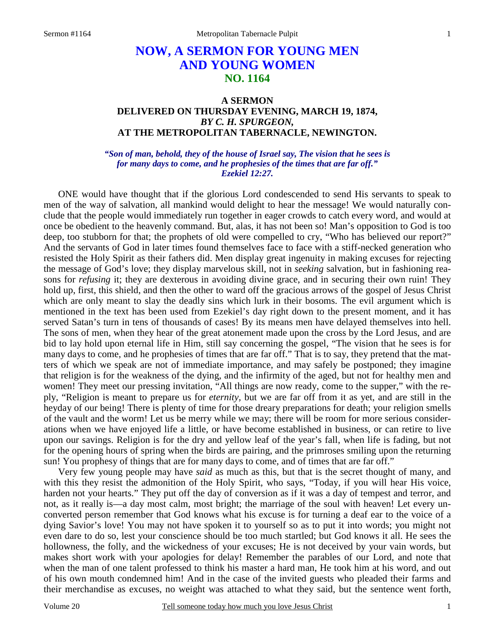# **NOW, A SERMON FOR YOUNG MEN AND YOUNG WOMEN NO. 1164**

## **A SERMON DELIVERED ON THURSDAY EVENING, MARCH 19, 1874,**  *BY C. H. SPURGEON,*  **AT THE METROPOLITAN TABERNACLE, NEWINGTON.**

*"Son of man, behold, they of the house of Israel say, The vision that he sees is for many days to come, and he prophesies of the times that are far off." Ezekiel 12:27.* 

ONE would have thought that if the glorious Lord condescended to send His servants to speak to men of the way of salvation, all mankind would delight to hear the message! We would naturally conclude that the people would immediately run together in eager crowds to catch every word, and would at once be obedient to the heavenly command. But, alas, it has not been so! Man's opposition to God is too deep, too stubborn for that; the prophets of old were compelled to cry, "Who has believed our report?" And the servants of God in later times found themselves face to face with a stiff-necked generation who resisted the Holy Spirit as their fathers did. Men display great ingenuity in making excuses for rejecting the message of God's love; they display marvelous skill, not in *seeking* salvation, but in fashioning reasons for *refusing* it; they are dexterous in avoiding divine grace, and in securing their own ruin! They hold up, first, this shield, and then the other to ward off the gracious arrows of the gospel of Jesus Christ which are only meant to slay the deadly sins which lurk in their bosoms. The evil argument which is mentioned in the text has been used from Ezekiel's day right down to the present moment, and it has served Satan's turn in tens of thousands of cases! By its means men have delayed themselves into hell. The sons of men, when they hear of the great atonement made upon the cross by the Lord Jesus, and are bid to lay hold upon eternal life in Him, still say concerning the gospel, "The vision that he sees is for many days to come, and he prophesies of times that are far off." That is to say, they pretend that the matters of which we speak are not of immediate importance, and may safely be postponed; they imagine that religion is for the weakness of the dying, and the infirmity of the aged, but not for healthy men and women! They meet our pressing invitation, "All things are now ready, come to the supper," with the reply, "Religion is meant to prepare us for *eternity,* but we are far off from it as yet, and are still in the heyday of our being! There is plenty of time for those dreary preparations for death; your religion smells of the vault and the worm! Let us be merry while we may; there will be room for more serious considerations when we have enjoyed life a little, or have become established in business, or can retire to live upon our savings. Religion is for the dry and yellow leaf of the year's fall, when life is fading, but not for the opening hours of spring when the birds are pairing, and the primroses smiling upon the returning sun! You prophesy of things that are for many days to come, and of times that are far off."

Very few young people may have *said* as much as this, but that is the secret thought of many, and with this they resist the admonition of the Holy Spirit, who says, "Today, if you will hear His voice, harden not your hearts." They put off the day of conversion as if it was a day of tempest and terror, and not, as it really is—a day most calm, most bright; the marriage of the soul with heaven! Let every unconverted person remember that God knows what his excuse is for turning a deaf ear to the voice of a dying Savior's love! You may not have spoken it to yourself so as to put it into words; you might not even dare to do so, lest your conscience should be too much startled; but God knows it all. He sees the hollowness, the folly, and the wickedness of your excuses; He is not deceived by your vain words, but makes short work with your apologies for delay! Remember the parables of our Lord, and note that when the man of one talent professed to think his master a hard man, He took him at his word, and out of his own mouth condemned him! And in the case of the invited guests who pleaded their farms and their merchandise as excuses, no weight was attached to what they said, but the sentence went forth,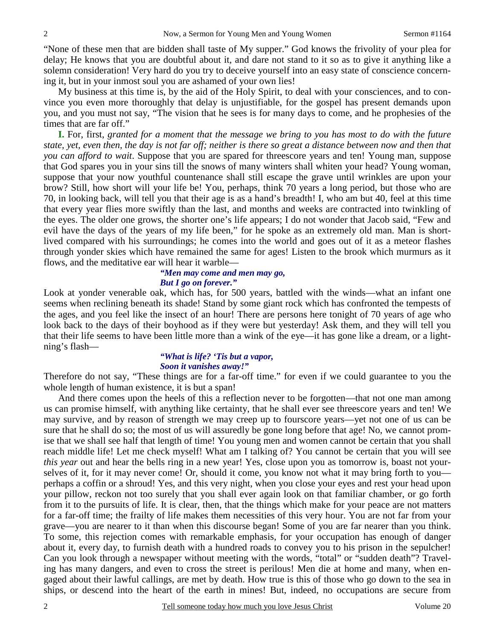"None of these men that are bidden shall taste of My supper." God knows the frivolity of your plea for delay; He knows that you are doubtful about it, and dare not stand to it so as to give it anything like a solemn consideration! Very hard do you try to deceive yourself into an easy state of conscience concerning it, but in your inmost soul you are ashamed of your own lies!

My business at this time is, by the aid of the Holy Spirit, to deal with your consciences, and to convince you even more thoroughly that delay is unjustifiable, for the gospel has present demands upon you, and you must not say, "The vision that he sees is for many days to come, and he prophesies of the times that are far off."

**I.** For, first, *granted for a moment that the message we bring to you has most to do with the future state, yet, even then, the day is not far off; neither is there so great a distance between now and then that you can afford to wait*. Suppose that you are spared for threescore years and ten! Young man, suppose that God spares you in your sins till the snows of many winters shall whiten your head? Young woman, suppose that your now youthful countenance shall still escape the grave until wrinkles are upon your brow? Still, how short will your life be! You, perhaps, think 70 years a long period, but those who are 70, in looking back, will tell you that their age is as a hand's breadth! I, who am but 40, feel at this time that every year flies more swiftly than the last, and months and weeks are contracted into twinkling of the eyes. The older one grows, the shorter one's life appears; I do not wonder that Jacob said, "Few and evil have the days of the years of my life been," for he spoke as an extremely old man. Man is shortlived compared with his surroundings; he comes into the world and goes out of it as a meteor flashes through yonder skies which have remained the same for ages! Listen to the brook which murmurs as it flows, and the meditative ear will hear it warble—

#### *"Men may come and men may go, But I go on forever."*

Look at yonder venerable oak, which has, for 500 years, battled with the winds—what an infant one seems when reclining beneath its shade! Stand by some giant rock which has confronted the tempests of the ages, and you feel like the insect of an hour! There are persons here tonight of 70 years of age who look back to the days of their boyhood as if they were but yesterday! Ask them, and they will tell you that their life seems to have been little more than a wink of the eye—it has gone like a dream, or a lightning's flash—

#### *"What is life? 'Tis but a vapor, Soon it vanishes away!"*

Therefore do not say, "These things are for a far-off time." for even if we could guarantee to you the whole length of human existence, it is but a span!

And there comes upon the heels of this a reflection never to be forgotten—that not one man among us can promise himself, with anything like certainty, that he shall ever see threescore years and ten! We may survive, and by reason of strength we may creep up to fourscore years—yet not one of us can be sure that he shall do so; the most of us will assuredly be gone long before that age! No, we cannot promise that we shall see half that length of time! You young men and women cannot be certain that you shall reach middle life! Let me check myself! What am I talking of? You cannot be certain that you will see *this year* out and hear the bells ring in a new year! Yes, close upon you as tomorrow is, boast not yourselves of it, for it may never come! Or, should it come, you know not what it may bring forth to you perhaps a coffin or a shroud! Yes, and this very night, when you close your eyes and rest your head upon your pillow, reckon not too surely that you shall ever again look on that familiar chamber, or go forth from it to the pursuits of life. It is clear, then, that the things which make for your peace are not matters for a far-off time; the frailty of life makes them necessities of this very hour. You are not far from your grave—you are nearer to it than when this discourse began! Some of you are far nearer than you think. To some, this rejection comes with remarkable emphasis, for your occupation has enough of danger about it, every day, to furnish death with a hundred roads to convey you to his prison in the sepulcher! Can you look through a newspaper without meeting with the words, "total" or "sudden death"? Traveling has many dangers, and even to cross the street is perilous! Men die at home and many, when engaged about their lawful callings, are met by death. How true is this of those who go down to the sea in ships, or descend into the heart of the earth in mines! But, indeed, no occupations are secure from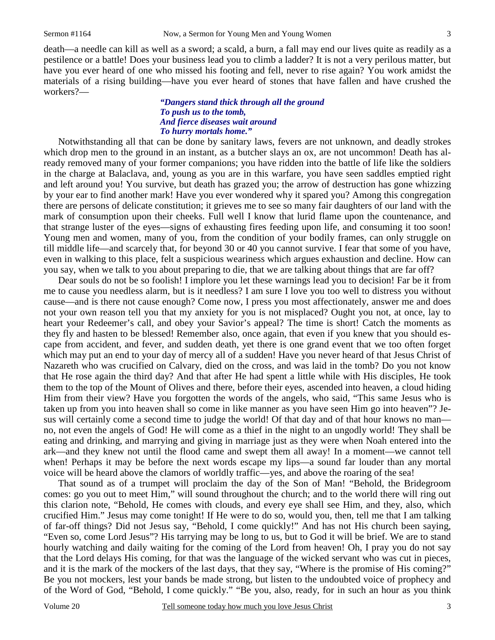death—a needle can kill as well as a sword; a scald, a burn, a fall may end our lives quite as readily as a pestilence or a battle! Does your business lead you to climb a ladder? It is not a very perilous matter, but have you ever heard of one who missed his footing and fell, never to rise again? You work amidst the materials of a rising building—have you ever heard of stones that have fallen and have crushed the workers?—

### *"Dangers stand thick through all the ground To push us to the tomb, And fierce diseases wait around To hurry mortals home."*

Notwithstanding all that can be done by sanitary laws, fevers are not unknown, and deadly strokes which drop men to the ground in an instant, as a butcher slays an ox, are not uncommon! Death has already removed many of your former companions; you have ridden into the battle of life like the soldiers in the charge at Balaclava, and, young as you are in this warfare, you have seen saddles emptied right and left around you! You survive, but death has grazed you; the arrow of destruction has gone whizzing by your ear to find another mark! Have you ever wondered why it spared you? Among this congregation there are persons of delicate constitution; it grieves me to see so many fair daughters of our land with the mark of consumption upon their cheeks. Full well I know that lurid flame upon the countenance, and that strange luster of the eyes—signs of exhausting fires feeding upon life, and consuming it too soon! Young men and women, many of you, from the condition of your bodily frames, can only struggle on till middle life—and scarcely that, for beyond 30 or 40 you cannot survive. I fear that some of you have, even in walking to this place, felt a suspicious weariness which argues exhaustion and decline. How can you say, when we talk to you about preparing to die, that we are talking about things that are far off?

Dear souls do not be so foolish! I implore you let these warnings lead you to decision! Far be it from me to cause you needless alarm, but is it needless? I am sure I love you too well to distress you without cause—and is there not cause enough? Come now, I press you most affectionately, answer me and does not your own reason tell you that my anxiety for you is not misplaced? Ought you not, at once, lay to heart your Redeemer's call, and obey your Savior's appeal? The time is short! Catch the moments as they fly and hasten to be blessed! Remember also, once again, that even if you knew that you should escape from accident, and fever, and sudden death, yet there is one grand event that we too often forget which may put an end to your day of mercy all of a sudden! Have you never heard of that Jesus Christ of Nazareth who was crucified on Calvary, died on the cross, and was laid in the tomb? Do you not know that He rose again the third day? And that after He had spent a little while with His disciples, He took them to the top of the Mount of Olives and there, before their eyes, ascended into heaven, a cloud hiding Him from their view? Have you forgotten the words of the angels, who said, "This same Jesus who is taken up from you into heaven shall so come in like manner as you have seen Him go into heaven"? Jesus will certainly come a second time to judge the world! Of that day and of that hour knows no man no, not even the angels of God! He will come as a thief in the night to an ungodly world! They shall be eating and drinking, and marrying and giving in marriage just as they were when Noah entered into the ark—and they knew not until the flood came and swept them all away! In a moment—we cannot tell when! Perhaps it may be before the next words escape my lips—a sound far louder than any mortal voice will be heard above the clamors of worldly traffic—yes, and above the roaring of the sea!

That sound as of a trumpet will proclaim the day of the Son of Man! "Behold, the Bridegroom comes: go you out to meet Him," will sound throughout the church; and to the world there will ring out this clarion note, "Behold, He comes with clouds, and every eye shall see Him, and they, also, which crucified Him." Jesus may come tonight! If He were to do so, would you, then, tell me that I am talking of far-off things? Did not Jesus say, "Behold, I come quickly!" And has not His church been saying, "Even so, come Lord Jesus"? His tarrying may be long to us, but to God it will be brief. We are to stand hourly watching and daily waiting for the coming of the Lord from heaven! Oh, I pray you do not say that the Lord delays His coming, for that was the language of the wicked servant who was cut in pieces, and it is the mark of the mockers of the last days, that they say, "Where is the promise of His coming?" Be you not mockers, lest your bands be made strong, but listen to the undoubted voice of prophecy and of the Word of God, "Behold, I come quickly." "Be you, also, ready, for in such an hour as you think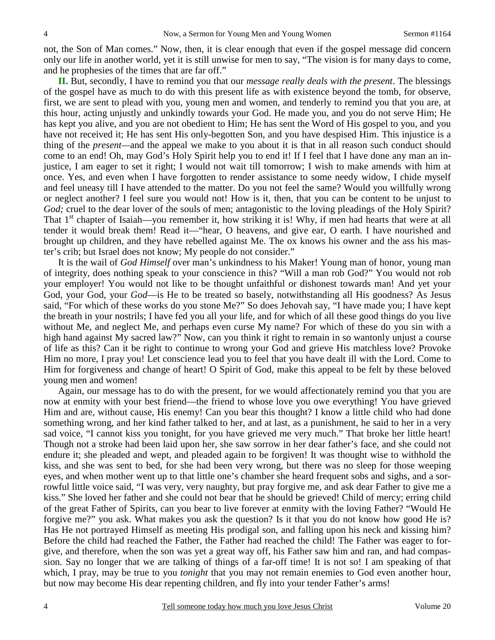not, the Son of Man comes." Now, then, it is clear enough that even if the gospel message did concern only our life in another world, yet it is still unwise for men to say, "The vision is for many days to come, and he prophesies of the times that are far off."

**II.** But, secondly, I have to remind you that our *message really deals with the present*. The blessings of the gospel have as much to do with this present life as with existence beyond the tomb, for observe, first, we are sent to plead with you, young men and women, and tenderly to remind you that you are, at this hour, acting unjustly and unkindly towards your God. He made you, and you do not serve Him; He has kept you alive, and you are not obedient to Him; He has sent the Word of His gospel to you, and you have not received it; He has sent His only-begotten Son, and you have despised Him. This injustice is a thing of the *present—*and the appeal we make to you about it is that in all reason such conduct should come to an end! Oh, may God's Holy Spirit help you to end it! If I feel that I have done any man an injustice, I am eager to set it right; I would not wait till tomorrow; I wish to make amends with him at once. Yes, and even when I have forgotten to render assistance to some needy widow, I chide myself and feel uneasy till I have attended to the matter. Do you not feel the same? Would you willfully wrong or neglect another? I feel sure you would not! How is it, then, that you can be content to be unjust to *God;* cruel to the dear lover of the souls of men; antagonistic to the loving pleadings of the Holy Spirit? That  $1<sup>st</sup>$  chapter of Isaiah—you remember it, how striking it is! Why, if men had hearts that were at all tender it would break them! Read it—"hear, O heavens, and give ear, O earth. I have nourished and brought up children, and they have rebelled against Me. The ox knows his owner and the ass his master's crib; but Israel does not know; My people do not consider."

It is the wail of *God Himself* over man's unkindness to his Maker! Young man of honor, young man of integrity, does nothing speak to your conscience in this? "Will a man rob God?" You would not rob your employer! You would not like to be thought unfaithful or dishonest towards man! And yet your God, your God, your *God*—is He to be treated so basely, notwithstanding all His goodness? As Jesus said, "For which of these works do you stone Me?" So does Jehovah say, "I have made you; I have kept the breath in your nostrils; I have fed you all your life, and for which of all these good things do you live without Me, and neglect Me, and perhaps even curse My name? For which of these do you sin with a high hand against My sacred law?" Now, can you think it right to remain in so wantonly unjust a course of life as this? Can it be right to continue to wrong your God and grieve His matchless love? Provoke Him no more, I pray you! Let conscience lead you to feel that you have dealt ill with the Lord. Come to Him for forgiveness and change of heart! O Spirit of God, make this appeal to be felt by these beloved young men and women!

Again, our message has to do with the present, for we would affectionately remind you that you are now at enmity with your best friend—the friend to whose love you owe everything! You have grieved Him and are, without cause, His enemy! Can you bear this thought? I know a little child who had done something wrong, and her kind father talked to her, and at last, as a punishment, he said to her in a very sad voice, "I cannot kiss you tonight, for you have grieved me very much." That broke her little heart! Though not a stroke had been laid upon her, she saw sorrow in her dear father's face, and she could not endure it; she pleaded and wept, and pleaded again to be forgiven! It was thought wise to withhold the kiss, and she was sent to bed, for she had been very wrong, but there was no sleep for those weeping eyes, and when mother went up to that little one's chamber she heard frequent sobs and sighs, and a sorrowful little voice said, "I was very, very naughty, but pray forgive me, and ask dear Father to give me a kiss." She loved her father and she could not bear that he should be grieved! Child of mercy; erring child of the great Father of Spirits, can you bear to live forever at enmity with the loving Father? "Would He forgive me?" you ask. What makes you ask the question? Is it that you do not know how good He is? Has He not portrayed Himself as meeting His prodigal son, and falling upon his neck and kissing him? Before the child had reached the Father, the Father had reached the child! The Father was eager to forgive, and therefore, when the son was yet a great way off, his Father saw him and ran, and had compassion. Say no longer that we are talking of things of a far-off time! It is not so! I am speaking of that which, I pray, may be true to you *tonight* that you may not remain enemies to God even another hour, but now may become His dear repenting children, and fly into your tender Father's arms!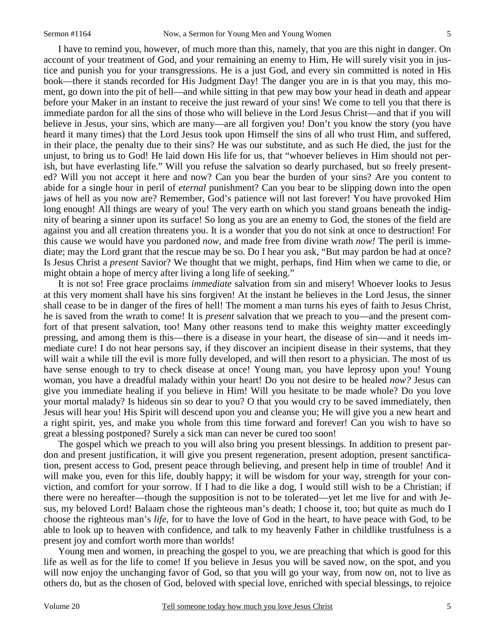I have to remind you, however, of much more than this, namely, that you are this night in danger. On account of your treatment of God, and your remaining an enemy to Him, He will surely visit you in justice and punish you for your transgressions. He is a just God, and every sin committed is noted in His book—there it stands recorded for His Judgment Day! The danger you are in is that you may, this moment, go down into the pit of hell—and while sitting in that pew may bow your head in death and appear before your Maker in an instant to receive the just reward of your sins! We come to tell you that there is immediate pardon for all the sins of those who will believe in the Lord Jesus Christ—and that if you will believe in Jesus, your sins, which are many—are all forgiven you! Don't you know the story (you have heard it many times) that the Lord Jesus took upon Himself the sins of all who trust Him, and suffered, in their place, the penalty due to their sins? He was our substitute, and as such He died, the just for the unjust, to bring us to God! He laid down His life for us, that "whoever believes in Him should not perish, but have everlasting life." Will you refuse the salvation so dearly purchased, but so freely presented? Will you not accept it here and now? Can you bear the burden of your sins? Are you content to abide for a single hour in peril of *eternal* punishment? Can you bear to be slipping down into the open jaws of hell as you now are? Remember, God's patience will not last forever! You have provoked Him long enough! All things are weary of you! The very earth on which you stand groans beneath the indignity of bearing a sinner upon its surface! So long as you are an enemy to God, the stones of the field are against you and all creation threatens you. It is a wonder that you do not sink at once to destruction! For this cause we would have you pardoned *now,* and made free from divine wrath *now!* The peril is immediate; may the Lord grant that the rescue may be so. Do I hear you ask, "But may pardon be had at once? Is Jesus Christ a *present* Savior? We thought that we might, perhaps, find Him when we came to die, or might obtain a hope of mercy after living a long life of seeking."

It is not so! Free grace proclaims *immediate* salvation from sin and misery! Whoever looks to Jesus at this very moment shall have his sins forgiven! At the instant he believes in the Lord Jesus, the sinner shall cease to be in danger of the fires of hell! The moment a man turns his eyes of faith to Jesus Christ, he is saved from the wrath to come! It is *present* salvation that we preach to you—and the present comfort of that present salvation, too! Many other reasons tend to make this weighty matter exceedingly pressing, and among them is this—there is a disease in your heart, the disease of sin—and it needs immediate cure! I do not hear persons say, if they discover an incipient disease in their systems, that they will wait a while till the evil is more fully developed, and will then resort to a physician. The most of us have sense enough to try to check disease at once! Young man, you have leprosy upon you! Young woman, you have a dreadful malady within your heart! Do you not desire to be healed *now?* Jesus can give you immediate healing if you believe in Him! Will you hesitate to be made whole? Do you love your mortal malady? Is hideous sin so dear to you? O that you would cry to be saved immediately, then Jesus will hear you! His Spirit will descend upon you and cleanse you; He will give you a new heart and a right spirit, yes, and make you whole from this time forward and forever! Can you wish to have so great a blessing postponed? Surely a sick man can never be cured too soon!

The gospel which we preach to you will also bring you present blessings. In addition to present pardon and present justification, it will give you present regeneration, present adoption, present sanctification, present access to God, present peace through believing, and present help in time of trouble! And it will make you, even for this life, doubly happy; it will be wisdom for your way, strength for your conviction, and comfort for your sorrow. If I had to die like a dog, I would still wish to be a Christian; if there were no hereafter—though the supposition is not to be tolerated—yet let me live for and with Jesus, my beloved Lord! Balaam chose the righteous man's death; I choose it, too; but quite as much do I choose the righteous man's *life,* for to have the love of God in the heart, to have peace with God, to be able to look up to heaven with confidence, and talk to my heavenly Father in childlike trustfulness is a present joy and comfort worth more than worlds!

Young men and women, in preaching the gospel to you, we are preaching that which is good for this life as well as for the life to come! If you believe in Jesus you will be saved now, on the spot, and you will now enjoy the unchanging favor of God, so that you will go your way, from now on, not to live as others do, but as the chosen of God, beloved with special love, enriched with special blessings, to rejoice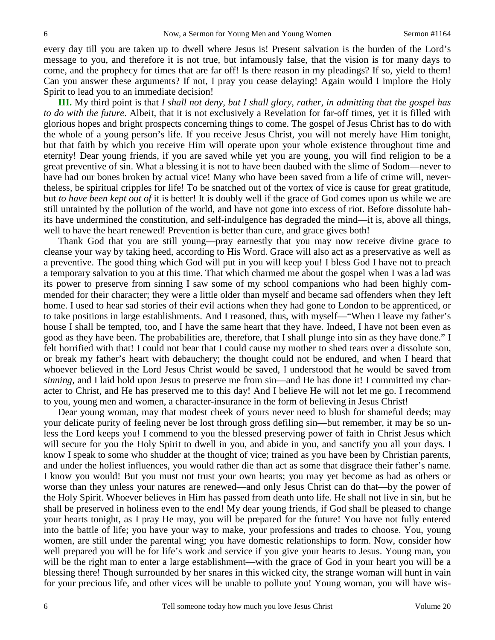every day till you are taken up to dwell where Jesus is! Present salvation is the burden of the Lord's message to you, and therefore it is not true, but infamously false, that the vision is for many days to come, and the prophecy for times that are far off! Is there reason in my pleadings? If so, yield to them! Can you answer these arguments? If not, I pray you cease delaying! Again would I implore the Holy Spirit to lead you to an immediate decision!

**III.** My third point is that *I shall not deny, but I shall glory, rather, in admitting that the gospel has to do with the future*. Albeit, that it is not exclusively a Revelation for far-off times, yet it is filled with glorious hopes and bright prospects concerning things to come. The gospel of Jesus Christ has to do with the whole of a young person's life. If you receive Jesus Christ, you will not merely have Him tonight, but that faith by which you receive Him will operate upon your whole existence throughout time and eternity! Dear young friends, if you are saved while yet you are young, you will find religion to be a great preventive of sin. What a blessing it is not to have been daubed with the slime of Sodom—never to have had our bones broken by actual vice! Many who have been saved from a life of crime will, nevertheless, be spiritual cripples for life! To be snatched out of the vortex of vice is cause for great gratitude, but *to have been kept out of* it is better! It is doubly well if the grace of God comes upon us while we are still untainted by the pollution of the world, and have not gone into excess of riot. Before dissolute habits have undermined the constitution, and self-indulgence has degraded the mind—it is, above all things, well to have the heart renewed! Prevention is better than cure, and grace gives both!

Thank God that you are still young—pray earnestly that you may now receive divine grace to cleanse your way by taking heed, according to His Word. Grace will also act as a preservative as well as a preventive. The good thing which God will put in you will keep you! I bless God I have not to preach a temporary salvation to you at this time. That which charmed me about the gospel when I was a lad was its power to preserve from sinning I saw some of my school companions who had been highly commended for their character; they were a little older than myself and became sad offenders when they left home. I used to hear sad stories of their evil actions when they had gone to London to be apprenticed, or to take positions in large establishments. And I reasoned, thus, with myself—"When I leave my father's house I shall be tempted, too, and I have the same heart that they have. Indeed, I have not been even as good as they have been. The probabilities are, therefore, that I shall plunge into sin as they have done." I felt horrified with that! I could not bear that I could cause my mother to shed tears over a dissolute son, or break my father's heart with debauchery; the thought could not be endured, and when I heard that whoever believed in the Lord Jesus Christ would be saved, I understood that he would be saved from *sinning,* and I laid hold upon Jesus to preserve me from sin—and He has done it! I committed my character to Christ, and He has preserved me to this day! And I believe He will not let me go. I recommend to you, young men and women, a character-insurance in the form of believing in Jesus Christ!

Dear young woman, may that modest cheek of yours never need to blush for shameful deeds; may your delicate purity of feeling never be lost through gross defiling sin—but remember, it may be so unless the Lord keeps you! I commend to you the blessed preserving power of faith in Christ Jesus which will secure for you the Holy Spirit to dwell in you, and abide in you, and sanctify you all your days. I know I speak to some who shudder at the thought of vice; trained as you have been by Christian parents, and under the holiest influences, you would rather die than act as some that disgrace their father's name. I know you would! But you must not trust your own hearts; you may yet become as bad as others or worse than they unless your natures are renewed—and only Jesus Christ can do that—by the power of the Holy Spirit. Whoever believes in Him has passed from death unto life. He shall not live in sin, but he shall be preserved in holiness even to the end! My dear young friends, if God shall be pleased to change your hearts tonight, as I pray He may, you will be prepared for the future! You have not fully entered into the battle of life; you have your way to make, your professions and trades to choose. You, young women, are still under the parental wing; you have domestic relationships to form. Now, consider how well prepared you will be for life's work and service if you give your hearts to Jesus. Young man, you will be the right man to enter a large establishment—with the grace of God in your heart you will be a blessing there! Though surrounded by her snares in this wicked city, the strange woman will hunt in vain for your precious life, and other vices will be unable to pollute you! Young woman, you will have wis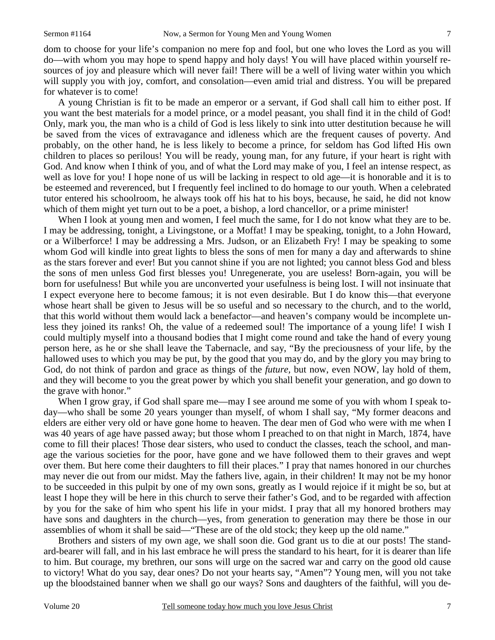dom to choose for your life's companion no mere fop and fool, but one who loves the Lord as you will do—with whom you may hope to spend happy and holy days! You will have placed within yourself resources of joy and pleasure which will never fail! There will be a well of living water within you which will supply you with joy, comfort, and consolation—even amid trial and distress. You will be prepared for whatever is to come!

A young Christian is fit to be made an emperor or a servant, if God shall call him to either post. If you want the best materials for a model prince, or a model peasant, you shall find it in the child of God! Only, mark you, the man who is a child of God is less likely to sink into utter destitution because he will be saved from the vices of extravagance and idleness which are the frequent causes of poverty. And probably, on the other hand, he is less likely to become a prince, for seldom has God lifted His own children to places so perilous! You will be ready, young man, for any future, if your heart is right with God. And know when I think of you, and of what the Lord may make of you, I feel an intense respect, as well as love for you! I hope none of us will be lacking in respect to old age—it is honorable and it is to be esteemed and reverenced, but I frequently feel inclined to do homage to our youth. When a celebrated tutor entered his schoolroom, he always took off his hat to his boys, because, he said, he did not know which of them might yet turn out to be a poet, a bishop, a lord chancellor, or a prime minister!

When I look at young men and women, I feel much the same, for I do not know what they are to be. I may be addressing, tonight, a Livingstone, or a Moffat! I may be speaking, tonight, to a John Howard, or a Wilberforce! I may be addressing a Mrs. Judson, or an Elizabeth Fry! I may be speaking to some whom God will kindle into great lights to bless the sons of men for many a day and afterwards to shine as the stars forever and ever! But you cannot shine if you are not lighted; you cannot bless God and bless the sons of men unless God first blesses you! Unregenerate, you are useless! Born-again, you will be born for usefulness! But while you are unconverted your usefulness is being lost. I will not insinuate that I expect everyone here to become famous; it is not even desirable. But I do know this—that everyone whose heart shall be given to Jesus will be so useful and so necessary to the church, and to the world, that this world without them would lack a benefactor—and heaven's company would be incomplete unless they joined its ranks! Oh, the value of a redeemed soul! The importance of a young life! I wish I could multiply myself into a thousand bodies that I might come round and take the hand of every young person here, as he or she shall leave the Tabernacle, and say, "By the preciousness of your life, by the hallowed uses to which you may be put, by the good that you may do, and by the glory you may bring to God, do not think of pardon and grace as things of the *future,* but now, even NOW, lay hold of them, and they will become to you the great power by which you shall benefit your generation, and go down to the grave with honor."

When I grow gray, if God shall spare me—may I see around me some of you with whom I speak today—who shall be some 20 years younger than myself, of whom I shall say, "My former deacons and elders are either very old or have gone home to heaven. The dear men of God who were with me when I was 40 years of age have passed away; but those whom I preached to on that night in March, 1874, have come to fill their places! Those dear sisters, who used to conduct the classes, teach the school, and manage the various societies for the poor, have gone and we have followed them to their graves and wept over them. But here come their daughters to fill their places." I pray that names honored in our churches may never die out from our midst. May the fathers live, again, in their children! It may not be my honor to be succeeded in this pulpit by one of my own sons, greatly as I would rejoice if it might be so, but at least I hope they will be here in this church to serve their father's God, and to be regarded with affection by you for the sake of him who spent his life in your midst. I pray that all my honored brothers may have sons and daughters in the church—yes, from generation to generation may there be those in our assemblies of whom it shall be said—"These are of the old stock; they keep up the old name."

Brothers and sisters of my own age, we shall soon die. God grant us to die at our posts! The standard-bearer will fall, and in his last embrace he will press the standard to his heart, for it is dearer than life to him. But courage, my brethren, our sons will urge on the sacred war and carry on the good old cause to victory! What do you say, dear ones? Do not your hearts say, "Amen"? Young men, will you not take up the bloodstained banner when we shall go our ways? Sons and daughters of the faithful, will you de